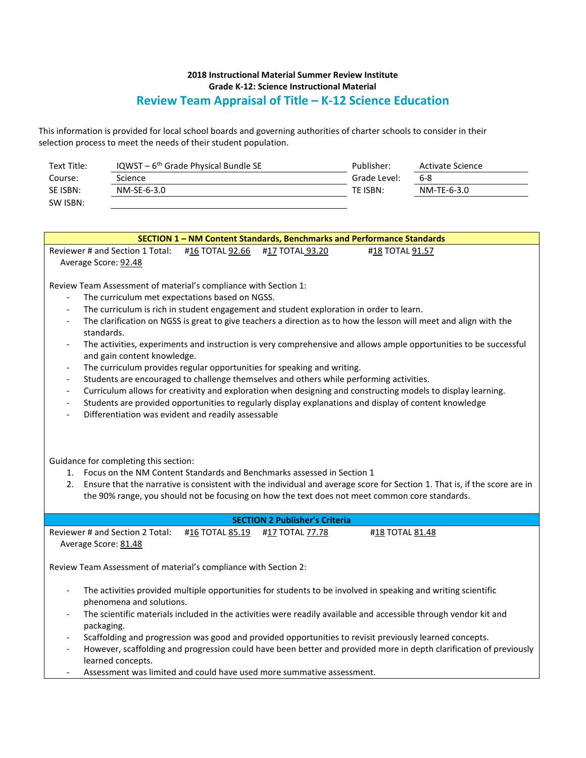## **2018 Instructional Material Summer Review Institute Grade K-12: Science Instructional Material Review Team Appraisal of Title – K-12 Science Education**

This information is provided for local school boards and governing authorities of charter schools to consider in their selection process to meet the needs of their student population.

| Text Title: | IQWST – $6th$ Grade Physical Bundle SE | Publisher:   | Activate Science |
|-------------|----------------------------------------|--------------|------------------|
| Course:     | Science                                | Grade Level: | 6-8              |
| SE ISBN:    | NM-SE-6-3.0                            | TE ISBN:     | NM-TE-6-3.0      |
| SW ISBN:    |                                        |              |                  |

| SECTION 1 - NM Content Standards, Benchmarks and Performance Standards                                                                                                                                                                                                                                                                               |  |  |  |  |  |  |
|------------------------------------------------------------------------------------------------------------------------------------------------------------------------------------------------------------------------------------------------------------------------------------------------------------------------------------------------------|--|--|--|--|--|--|
| Reviewer # and Section 1 Total:<br>#16 TOTAL 92.66<br>#17 TOTAL 93.20<br>#18 TOTAL 91.57                                                                                                                                                                                                                                                             |  |  |  |  |  |  |
| Average Score: 92.48                                                                                                                                                                                                                                                                                                                                 |  |  |  |  |  |  |
|                                                                                                                                                                                                                                                                                                                                                      |  |  |  |  |  |  |
| Review Team Assessment of material's compliance with Section 1:                                                                                                                                                                                                                                                                                      |  |  |  |  |  |  |
| The curriculum met expectations based on NGSS.                                                                                                                                                                                                                                                                                                       |  |  |  |  |  |  |
| The curriculum is rich in student engagement and student exploration in order to learn.<br>$\overline{\phantom{a}}$                                                                                                                                                                                                                                  |  |  |  |  |  |  |
| The clarification on NGSS is great to give teachers a direction as to how the lesson will meet and align with the<br>standards.                                                                                                                                                                                                                      |  |  |  |  |  |  |
| The activities, experiments and instruction is very comprehensive and allows ample opportunities to be successful<br>$\overline{\phantom{a}}$                                                                                                                                                                                                        |  |  |  |  |  |  |
| and gain content knowledge.                                                                                                                                                                                                                                                                                                                          |  |  |  |  |  |  |
| The curriculum provides regular opportunities for speaking and writing.<br>$\qquad \qquad -$                                                                                                                                                                                                                                                         |  |  |  |  |  |  |
| Students are encouraged to challenge themselves and others while performing activities.                                                                                                                                                                                                                                                              |  |  |  |  |  |  |
| Curriculum allows for creativity and exploration when designing and constructing models to display learning.<br>$\qquad \qquad -$                                                                                                                                                                                                                    |  |  |  |  |  |  |
| Students are provided opportunities to regularly display explanations and display of content knowledge<br>$\qquad \qquad -$                                                                                                                                                                                                                          |  |  |  |  |  |  |
| Differentiation was evident and readily assessable                                                                                                                                                                                                                                                                                                   |  |  |  |  |  |  |
| Guidance for completing this section:<br>1. Focus on the NM Content Standards and Benchmarks assessed in Section 1<br>2. Ensure that the narrative is consistent with the individual and average score for Section 1. That is, if the score are in<br>the 90% range, you should not be focusing on how the text does not meet common core standards. |  |  |  |  |  |  |
| <b>SECTION 2 Publisher's Criteria</b>                                                                                                                                                                                                                                                                                                                |  |  |  |  |  |  |
| Reviewer # and Section 2 Total:<br>#16 TOTAL 85.19<br>#17 TOTAL 77.78<br>#18 TOTAL 81.48                                                                                                                                                                                                                                                             |  |  |  |  |  |  |
| Average Score: 81.48                                                                                                                                                                                                                                                                                                                                 |  |  |  |  |  |  |
| Review Team Assessment of material's compliance with Section 2:                                                                                                                                                                                                                                                                                      |  |  |  |  |  |  |
| The activities provided multiple opportunities for students to be involved in speaking and writing scientific<br>$\qquad \qquad -$                                                                                                                                                                                                                   |  |  |  |  |  |  |
| phenomena and solutions.                                                                                                                                                                                                                                                                                                                             |  |  |  |  |  |  |
| The scientific materials included in the activities were readily available and accessible through vendor kit and                                                                                                                                                                                                                                     |  |  |  |  |  |  |
| packaging.                                                                                                                                                                                                                                                                                                                                           |  |  |  |  |  |  |
| Scaffolding and progression was good and provided opportunities to revisit previously learned concepts.<br>However, scaffolding and progression could have been better and provided more in depth clarification of previously                                                                                                                        |  |  |  |  |  |  |
| learned concepts.                                                                                                                                                                                                                                                                                                                                    |  |  |  |  |  |  |
| Assessment was limited and could have used more summative assessment.                                                                                                                                                                                                                                                                                |  |  |  |  |  |  |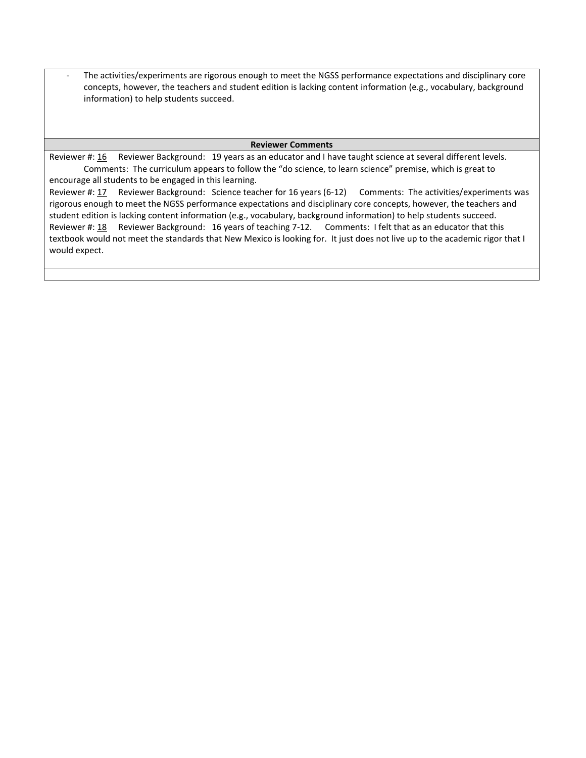The activities/experiments are rigorous enough to meet the NGSS performance expectations and disciplinary core concepts, however, the teachers and student edition is lacking content information (e.g., vocabulary, background information) to help students succeed.

## **Reviewer Comments**

Reviewer #: 16 Reviewer Background: 19 years as an educator and I have taught science at several different levels. Comments: The curriculum appears to follow the "do science, to learn science" premise, which is great to encourage all students to be engaged in this learning. Reviewer #: 17 Reviewer Background: Science teacher for 16 years (6-12) Comments: The activities/experiments was rigorous enough to meet the NGSS performance expectations and disciplinary core concepts, however, the teachers and student edition is lacking content information (e.g., vocabulary, background information) to help students succeed. Reviewer #: 18 Reviewer Background: 16 years of teaching 7-12. Comments: I felt that as an educator that this textbook would not meet the standards that New Mexico is looking for. It just does not live up to the academic rigor that I would expect.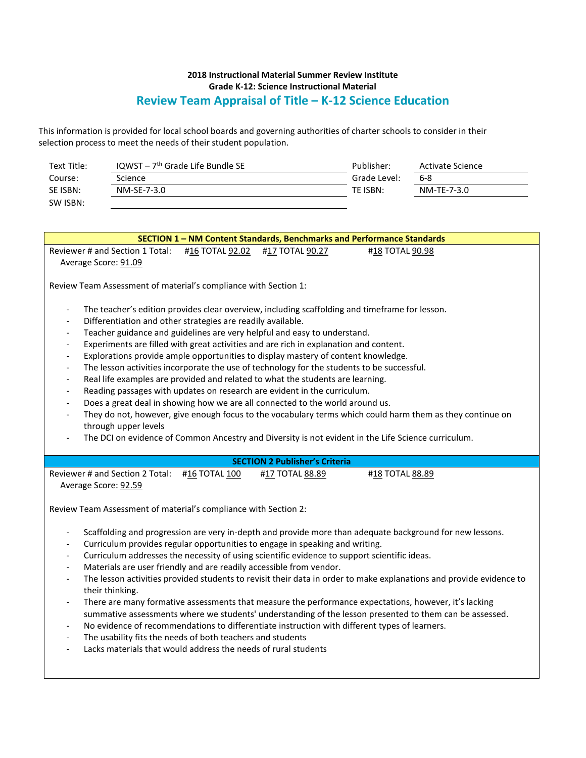## **2018 Instructional Material Summer Review Institute Grade K-12: Science Instructional Material Review Team Appraisal of Title – K-12 Science Education**

This information is provided for local school boards and governing authorities of charter schools to consider in their selection process to meet the needs of their student population.

| Text Title: | IQWST – $7th$ Grade Life Bundle SE | Publisher:   | Activate Science |
|-------------|------------------------------------|--------------|------------------|
| Course:     | Science                            | Grade Level: | 6-8              |
| SE ISBN:    | NM-SE-7-3.0                        | TE ISBN:     | NM-TE-7-3.0      |
| SW ISBN:    |                                    |              |                  |

| SECTION 1 - NM Content Standards, Benchmarks and Performance Standards                                                                                                                                                                                                                                                                                                                                                                                                                                                                                                                                                                                                                                                                                                                                                                                                                                                                                                                                                                                                                                                                                                                        |  |  |  |  |  |
|-----------------------------------------------------------------------------------------------------------------------------------------------------------------------------------------------------------------------------------------------------------------------------------------------------------------------------------------------------------------------------------------------------------------------------------------------------------------------------------------------------------------------------------------------------------------------------------------------------------------------------------------------------------------------------------------------------------------------------------------------------------------------------------------------------------------------------------------------------------------------------------------------------------------------------------------------------------------------------------------------------------------------------------------------------------------------------------------------------------------------------------------------------------------------------------------------|--|--|--|--|--|
| Reviewer # and Section 1 Total:<br>#16 TOTAL 92.02<br>#17 TOTAL 90.27<br>#18 TOTAL 90.98<br>Average Score: 91.09                                                                                                                                                                                                                                                                                                                                                                                                                                                                                                                                                                                                                                                                                                                                                                                                                                                                                                                                                                                                                                                                              |  |  |  |  |  |
| Review Team Assessment of material's compliance with Section 1:                                                                                                                                                                                                                                                                                                                                                                                                                                                                                                                                                                                                                                                                                                                                                                                                                                                                                                                                                                                                                                                                                                                               |  |  |  |  |  |
| The teacher's edition provides clear overview, including scaffolding and timeframe for lesson.<br>$\qquad \qquad -$<br>Differentiation and other strategies are readily available.<br>$\overline{a}$<br>Teacher guidance and guidelines are very helpful and easy to understand.<br>$\overline{\phantom{a}}$<br>Experiments are filled with great activities and are rich in explanation and content.<br>$\qquad \qquad \blacksquare$<br>Explorations provide ample opportunities to display mastery of content knowledge.<br>$\overline{\phantom{a}}$<br>The lesson activities incorporate the use of technology for the students to be successful.<br>Real life examples are provided and related to what the students are learning.<br>Reading passages with updates on research are evident in the curriculum.<br>Does a great deal in showing how we are all connected to the world around us.<br>$\overline{a}$<br>They do not, however, give enough focus to the vocabulary terms which could harm them as they continue on<br>$\overline{\phantom{a}}$<br>through upper levels<br>The DCI on evidence of Common Ancestry and Diversity is not evident in the Life Science curriculum. |  |  |  |  |  |
| <b>SECTION 2 Publisher's Criteria</b>                                                                                                                                                                                                                                                                                                                                                                                                                                                                                                                                                                                                                                                                                                                                                                                                                                                                                                                                                                                                                                                                                                                                                         |  |  |  |  |  |
| Reviewer # and Section 2 Total: #16 TOTAL 100<br>#17 TOTAL 88.89<br>#18 TOTAL 88.89<br>Average Score: 92.59                                                                                                                                                                                                                                                                                                                                                                                                                                                                                                                                                                                                                                                                                                                                                                                                                                                                                                                                                                                                                                                                                   |  |  |  |  |  |
| Review Team Assessment of material's compliance with Section 2:                                                                                                                                                                                                                                                                                                                                                                                                                                                                                                                                                                                                                                                                                                                                                                                                                                                                                                                                                                                                                                                                                                                               |  |  |  |  |  |
| Scaffolding and progression are very in-depth and provide more than adequate background for new lessons.<br>$\qquad \qquad -$<br>Curriculum provides regular opportunities to engage in speaking and writing.<br>Curriculum addresses the necessity of using scientific evidence to support scientific ideas.<br>$\overline{a}$<br>Materials are user friendly and are readily accessible from vendor.<br>$\overline{a}$<br>The lesson activities provided students to revisit their data in order to make explanations and provide evidence to<br>their thinking.<br>There are many formative assessments that measure the performance expectations, however, it's lacking<br>$\overline{\phantom{a}}$<br>summative assessments where we students' understanding of the lesson presented to them can be assessed.<br>No evidence of recommendations to differentiate instruction with different types of learners.<br>The usability fits the needs of both teachers and students<br>Lacks materials that would address the needs of rural students<br>$\overline{a}$                                                                                                                         |  |  |  |  |  |
|                                                                                                                                                                                                                                                                                                                                                                                                                                                                                                                                                                                                                                                                                                                                                                                                                                                                                                                                                                                                                                                                                                                                                                                               |  |  |  |  |  |